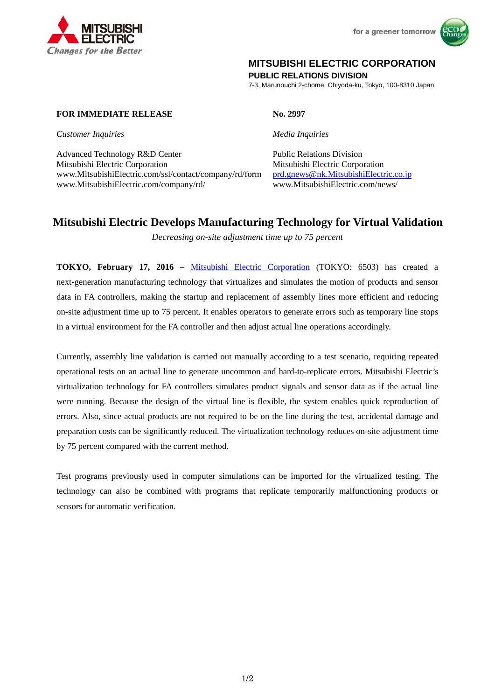



## **MITSUBISHI ELECTRIC CORPORATION**

**PUBLIC RELATIONS DIVISION** 

7-3, Marunouchi 2-chome, Chiyoda-ku, Tokyo, 100-8310 Japan

### **FOR IMMEDIATE RELEASE No. 2997**

*Customer Inquiries Media Inquiries*

Advanced Technology R&D Center Public Relations Division Mitsubishi Electric Corporation Mitsubishi Electric Corporation www.MitsubishiElectric.com/ssl/contact/company/rd/form prd.gnews@nk.MitsubishiElectric.co.jp www.MitsubishiElectric.com/company/rd/ www.MitsubishiElectric.com/news/

# **Mitsubishi Electric Develops Manufacturing Technology for Virtual Validation**

*Decreasing on-site adjustment time up to 75 percent* 

**TOKYO, February 17, 2016** – Mitsubishi Electric Corporation (TOKYO: 6503) has created a next-generation manufacturing technology that virtualizes and simulates the motion of products and sensor data in FA controllers, making the startup and replacement of assembly lines more efficient and reducing on-site adjustment time up to 75 percent. It enables operators to generate errors such as temporary line stops in a virtual environment for the FA controller and then adjust actual line operations accordingly.

Currently, assembly line validation is carried out manually according to a test scenario, requiring repeated operational tests on an actual line to generate uncommon and hard-to-replicate errors. Mitsubishi Electric's virtualization technology for FA controllers simulates product signals and sensor data as if the actual line were running. Because the design of the virtual line is flexible, the system enables quick reproduction of errors. Also, since actual products are not required to be on the line during the test, accidental damage and preparation costs can be significantly reduced. The virtualization technology reduces on-site adjustment time by 75 percent compared with the current method.

Test programs previously used in computer simulations can be imported for the virtualized testing. The technology can also be combined with programs that replicate temporarily malfunctioning products or sensors for automatic verification.